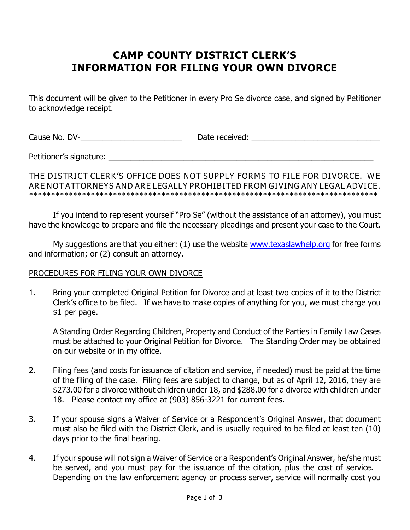# **CAMP COUNTY DISTRICT CLERK'S INFORMATION FOR FILING YOUR OWN DIVORCE**

This document will be given to the Petitioner in every Pro Se divorce case, and signed by Petitioner to acknowledge receipt.

Cause No. DV-\_\_\_\_\_\_\_\_\_\_\_\_\_\_\_\_\_\_\_\_\_\_\_ Date received: \_\_\_\_\_\_\_\_\_\_\_\_\_\_\_\_\_\_\_\_\_\_\_\_\_\_\_\_\_

Petitioner's signature: \_\_\_\_\_\_\_\_\_\_\_\_\_\_\_\_\_\_\_\_\_\_\_\_\_\_\_\_\_\_\_\_\_\_\_\_\_\_\_\_\_\_\_\_\_\_\_\_\_\_\_\_\_\_\_\_\_\_\_\_

#### *THE DISTRICT CLERK'S OFFICE DOES NOT SUPPLY FORMS TO FILE FOR DIVORCE. WE ARE NOT ATTORNEYS AND ARE LEGALLY PROHIBITED FROM GIVING ANY LEGAL ADVICE. \*\*\*\*\*\*\*\*\*\*\*\*\*\*\*\*\*\*\*\*\*\*\*\*\*\*\*\*\*\*\*\*\*\*\*\*\*\*\*\*\*\*\*\*\*\*\*\*\*\*\*\*\*\*\*\*\*\*\*\*\*\*\*\*\*\*\*\*\*\*\*\*\*\*\*\*\*\*\**

If you intend to represent yourself "Pro Se" (without the assistance of an attorney), you must have the knowledge to prepare and file the necessary pleadings and present your case to the Court.

My suggestions are that you either: (1) use the website [www.texaslawhelp.org](http://www.texaslawhelp.org) for free forms and information; or (2) consult an attorney.

### PROCEDURES FOR FILING YOUR OWN DIVORCE

1. Bring your completed Original Petition for Divorce and at least two copies of it to the District Clerk's office to be filed. If we have to make copies of anything for you, we must charge you \$1 per page.

A Standing Order Regarding Children, Property and Conduct of the Parties in Family Law Cases must be attached to your Original Petition for Divorce. The Standing Order may be obtained on our website or in my office.

- 2. Filing fees (and costs for issuance of citation and service, if needed) must be paid at the time of the filing of the case. Filing fees are subject to change, but as of April 12, 2016, they are \$273.00 for a divorce without children under 18, and \$288.00 for a divorce with children under 18. Please contact my office at (903) 856-3221 for current fees.
- 3. If your spouse signs a Waiver of Service or a Respondent's Original Answer, that document must also be filed with the District Clerk, and is usually required to be filed at least ten (10) days prior to the final hearing.
- 4. If your spouse will not sign a Waiver of Service or a Respondent's Original Answer, he/she must be served, and you must pay for the issuance of the citation, plus the cost of service. Depending on the law enforcement agency or process server, service will normally cost you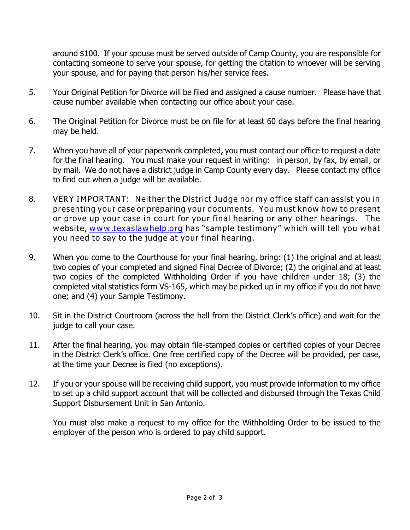around \$100. If your spouse must be served outside of Camp County, you are responsible for contacting someone to serve your spouse, for getting the citation to whoever will be serving your spouse, and for paying that person his/her service fees.

- 5. Your Original Petition for Divorce will be filed and assigned a cause number. Please have that cause number available when contacting our office about your case.
- 6. The Original Petition for Divorce must be on file for at least 60 days before the final hearing may be held.
- 7. When you have all of your paperwork completed, you must contact our office to request a date for the final hearing. You must make your request in writing: in person, by fax, by email, or by mail. We do not have a district judge in Camp County every day. Please contact my office to find out when a judge will be available.
- 8. *VERY IMPORTANT: Neither the District Judge nor my office staff can assist you in presenting your case or preparing your documents. You must know how to present or prove up your case in court for your final hearing or any other hearings. The website, [www.texaslawhelp.org](http://www.texaslawhelp.org) has "sample testimony" which will tell you what you need to say to the judge at your final hearing.*
- 9. When you come to the Courthouse for your final hearing, bring: (1) the original and at least two copies of your completed and signed Final Decree of Divorce; (2) the original and at least two copies of the completed Withholding Order if you have children under 18; (3) the completed vital statistics form VS-165, which may be picked up in my office if you do not have one; and (4) your Sample Testimony.
- 10. Sit in the District Courtroom (across the hall from the District Clerk's office) and wait for the judge to call your case.
- 11. After the final hearing, you may obtain file-stamped copies or certified copies of your Decree in the District Clerk's office. One free certified copy of the Decree will be provided, per case, at the time your Decree is filed (no exceptions).
- 12. If you or your spouse will be receiving child support, you must provide information to my office to set up a child support account that will be collected and disbursed through the Texas Child Support Disbursement Unit in San Antonio.

You must also make a request to my office for the Withholding Order to be issued to the employer of the person who is ordered to pay child support.